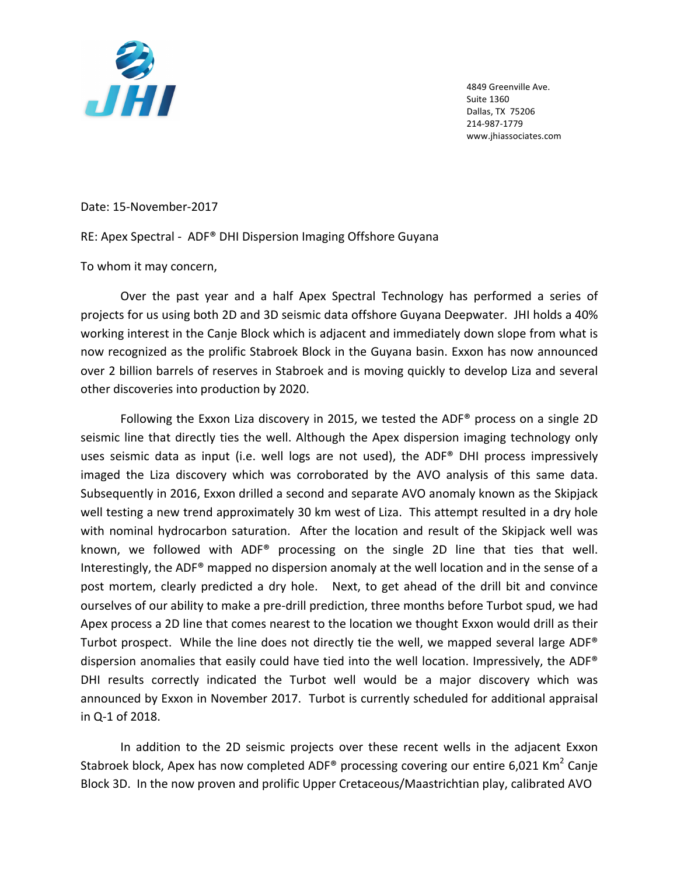

4849 Greenville Ave. Suite 1360 Dallas, TX 75206 214-987-1779 www.jhiassociates.com

Date: 15-November-2017

RE: Apex Spectral - ADF® DHI Dispersion Imaging Offshore Guyana

To whom it may concern,

Over the past year and a half Apex Spectral Technology has performed a series of projects for us using both 2D and 3D seismic data offshore Guyana Deepwater. JHI holds a 40% working interest in the Canje Block which is adjacent and immediately down slope from what is now recognized as the prolific Stabroek Block in the Guyana basin. Exxon has now announced over 2 billion barrels of reserves in Stabroek and is moving quickly to develop Liza and several other discoveries into production by 2020.

Following the Exxon Liza discovery in 2015, we tested the ADF® process on a single 2D seismic line that directly ties the well. Although the Apex dispersion imaging technology only uses seismic data as input (i.e. well logs are not used), the ADF® DHI process impressively imaged the Liza discovery which was corroborated by the AVO analysis of this same data. Subsequently in 2016, Exxon drilled a second and separate AVO anomaly known as the Skipjack well testing a new trend approximately 30 km west of Liza. This attempt resulted in a dry hole with nominal hydrocarbon saturation. After the location and result of the Skipjack well was known, we followed with ADF® processing on the single 2D line that ties that well. Interestingly, the ADF<sup>®</sup> mapped no dispersion anomaly at the well location and in the sense of a post mortem, clearly predicted a dry hole. Next, to get ahead of the drill bit and convince ourselves of our ability to make a pre-drill prediction, three months before Turbot spud, we had Apex process a 2D line that comes nearest to the location we thought Exxon would drill as their Turbot prospect. While the line does not directly tie the well, we mapped several large ADF<sup>®</sup> dispersion anomalies that easily could have tied into the well location. Impressively, the ADF® DHI results correctly indicated the Turbot well would be a major discovery which was announced by Exxon in November 2017. Turbot is currently scheduled for additional appraisal in Q-1 of 2018.

In addition to the 2D seismic projects over these recent wells in the adjacent Exxon Stabroek block, Apex has now completed ADF<sup>®</sup> processing covering our entire 6,021 Km<sup>2</sup> Canje Block 3D. In the now proven and prolific Upper Cretaceous/Maastrichtian play, calibrated AVO